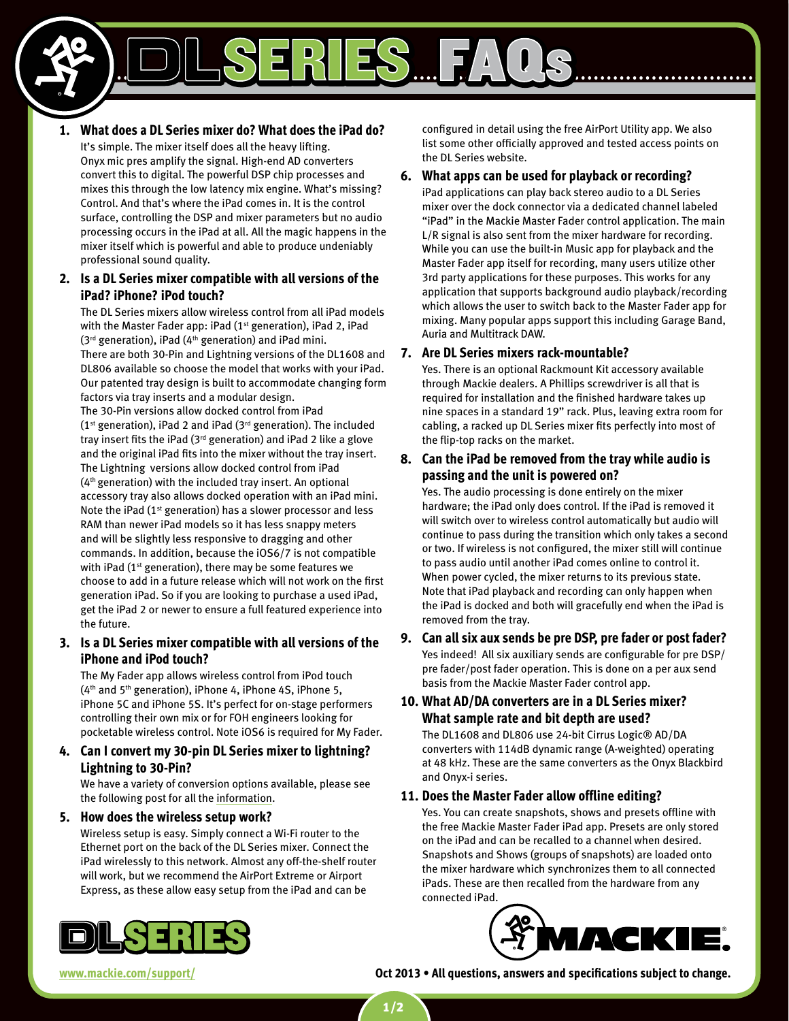**1. What does a DL Series mixer do? What does the iPad do?**

It's simple. The mixer itself does all the heavy lifting. Onyx mic pres amplify the signal. High-end AD converters convert this to digital. The powerful DSP chip processes and mixes this through the low latency mix engine. What's missing? Control. And that's where the iPad comes in. It is the control surface, controlling the DSP and mixer parameters but no audio processing occurs in the iPad at all. All the magic happens in the mixer itself which is powerful and able to produce undeniably professional sound quality.

# **2. Is a DL Series mixer compatible with all versions of the iPad? iPhone? iPod touch?**

The DL Series mixers allow wireless control from all iPad models with the Master Fader app: iPad (1<sup>st</sup> generation), iPad 2, iPad  $(3<sup>rd</sup>$  generation), iPad  $(4<sup>th</sup>$  generation) and iPad mini.

There are both 30-Pin and Lightning versions of the DL1608 and DL806 available so choose the model that works with your iPad. Our patented tray design is built to accommodate changing form factors via tray inserts and a modular design.

The 30-Pin versions allow docked control from iPad ( $1<sup>st</sup>$  generation), iPad 2 and iPad ( $3<sup>rd</sup>$  generation). The included tray insert fits the iPad (3rd generation) and iPad 2 like a glove and the original iPad fits into the mixer without the tray insert. The Lightning versions allow docked control from iPad (4th generation) with the included tray insert. An optional accessory tray also allows docked operation with an iPad mini. Note the iPad  $(1<sup>st</sup>$  generation) has a slower processor and less RAM than newer iPad models so it has less snappy meters and will be slightly less responsive to dragging and other commands. In addition, because the iOS6/7 is not compatible with iPad (1<sup>st</sup> generation), there may be some features we choose to add in a future release which will not work on the first generation iPad. So if you are looking to purchase a used iPad, get the iPad 2 or newer to ensure a full featured experience into the future.

# **3. Is a DL Series mixer compatible with all versions of the iPhone and iPod touch?**

The My Fader app allows wireless control from iPod touch (4th and 5th generation), iPhone 4, iPhone 4S, iPhone 5, iPhone 5C and iPhone 5S. It's perfect for on-stage performers controlling their own mix or for FOH engineers looking for pocketable wireless control. Note iOS6 is required for My Fader.

# **4. Can I convert my 30-pin DL Series mixer to lightning? Lightning to 30-Pin?**

We have a variety of conversion options available, please see the following post for all the [information](http://www.mackie.com/enews/products/2013/09/zap-mackie-dl-series-mixers-lightning-and-you/).

**5. How does the wireless setup work?**

Wireless setup is easy. Simply connect a Wi-Fi router to the Ethernet port on the back of the DL Series mixer. Connect the iPad wirelessly to this network. Almost any off-the-shelf router will work, but we recommend the AirPort Extreme or Airport Express, as these allow easy setup from the iPad and can be

configured in detail using the free AirPort Utility app. We also list some other officially approved and tested access points on the DL Series website.

# **6. What apps can be used for playback or recording?**

FAQs

iPad applications can play back stereo audio to a DL Series mixer over the dock connector via a dedicated channel labeled "iPad" in the Mackie Master Fader control application. The main L/R signal is also sent from the mixer hardware for recording. While you can use the built-in Music app for playback and the Master Fader app itself for recording, many users utilize other 3rd party applications for these purposes. This works for any application that supports background audio playback/recording which allows the user to switch back to the Master Fader app for mixing. Many popular apps support this including Garage Band, Auria and Multitrack DAW.

## **7. Are DL Series mixers rack-mountable?**

Yes. There is an optional Rackmount Kit accessory available through Mackie dealers. A Phillips screwdriver is all that is required for installation and the finished hardware takes up nine spaces in a standard 19" rack. Plus, leaving extra room for cabling, a racked up DL Series mixer fits perfectly into most of the flip-top racks on the market.

# **8. Can the iPad be removed from the tray while audio is passing and the unit is powered on?**

Yes. The audio processing is done entirely on the mixer hardware; the iPad only does control. If the iPad is removed it will switch over to wireless control automatically but audio will continue to pass during the transition which only takes a second or two. If wireless is not configured, the mixer still will continue to pass audio until another iPad comes online to control it. When power cycled, the mixer returns to its previous state. Note that iPad playback and recording can only happen when the iPad is docked and both will gracefully end when the iPad is removed from the tray.

**9. Can all six aux sends be pre DSP, pre fader or post fader?** Yes indeed! All six auxiliary sends are configurable for pre DSP/ pre fader/post fader operation. This is done on a per aux send basis from the Mackie Master Fader control app.

# **10. What AD/DA converters are in a DL Series mixer? What sample rate and bit depth are used?**

The DL1608 and DL806 use 24-bit Cirrus Logic® AD/DA converters with 114dB dynamic range (A-weighted) operating at 48 kHz. These are the same converters as the Onyx Blackbird and Onyx-i series.

## **11. Does the Master Fader allow offline editing?**

Yes. You can create snapshots, shows and presets offline with the free Mackie Master Fader iPad app. Presets are only stored on the iPad and can be recalled to a channel when desired. Snapshots and Shows (groups of snapshots) are loaded onto the mixer hardware which synchronizes them to all connected iPads. These are then recalled from the hardware from any connected iPad.





**<www.mackie.com/support/> Oct 2013 • All questions, answers and specifications subject to change.**